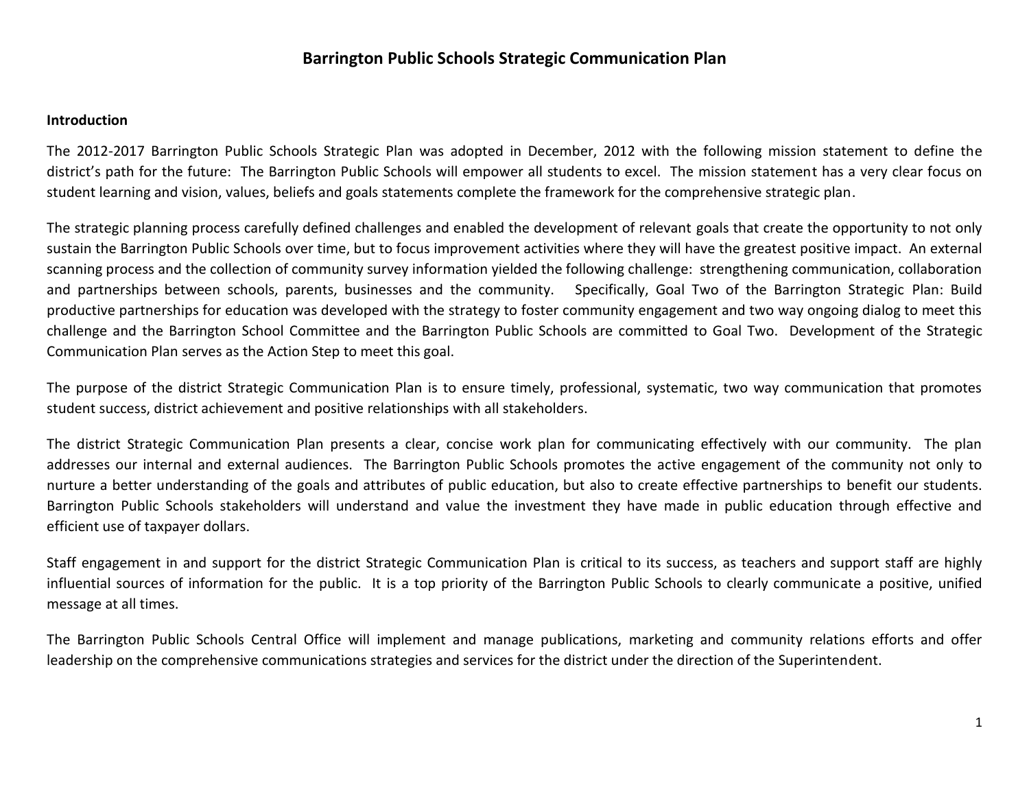### **Introduction**

The 2012-2017 Barrington Public Schools Strategic Plan was adopted in December, 2012 with the following mission statement to define the district's path for the future: The Barrington Public Schools will empower all students to excel. The mission statement has a very clear focus on student learning and vision, values, beliefs and goals statements complete the framework for the comprehensive strategic plan.

The strategic planning process carefully defined challenges and enabled the development of relevant goals that create the opportunity to not only sustain the Barrington Public Schools over time, but to focus improvement activities where they will have the greatest positive impact. An external scanning process and the collection of community survey information yielded the following challenge: strengthening communication, collaboration and partnerships between schools, parents, businesses and the community. Specifically, Goal Two of the Barrington Strategic Plan: Build productive partnerships for education was developed with the strategy to foster community engagement and two way ongoing dialog to meet this challenge and the Barrington School Committee and the Barrington Public Schools are committed to Goal Two. Development of the Strategic Communication Plan serves as the Action Step to meet this goal.

The purpose of the district Strategic Communication Plan is to ensure timely, professional, systematic, two way communication that promotes student success, district achievement and positive relationships with all stakeholders.

The district Strategic Communication Plan presents a clear, concise work plan for communicating effectively with our community. The plan addresses our internal and external audiences. The Barrington Public Schools promotes the active engagement of the community not only to nurture a better understanding of the goals and attributes of public education, but also to create effective partnerships to benefit our students. Barrington Public Schools stakeholders will understand and value the investment they have made in public education through effective and efficient use of taxpayer dollars.

Staff engagement in and support for the district Strategic Communication Plan is critical to its success, as teachers and support staff are highly influential sources of information for the public. It is a top priority of the Barrington Public Schools to clearly communicate a positive, unified message at all times.

The Barrington Public Schools Central Office will implement and manage publications, marketing and community relations efforts and offer leadership on the comprehensive communications strategies and services for the district under the direction of the Superintendent.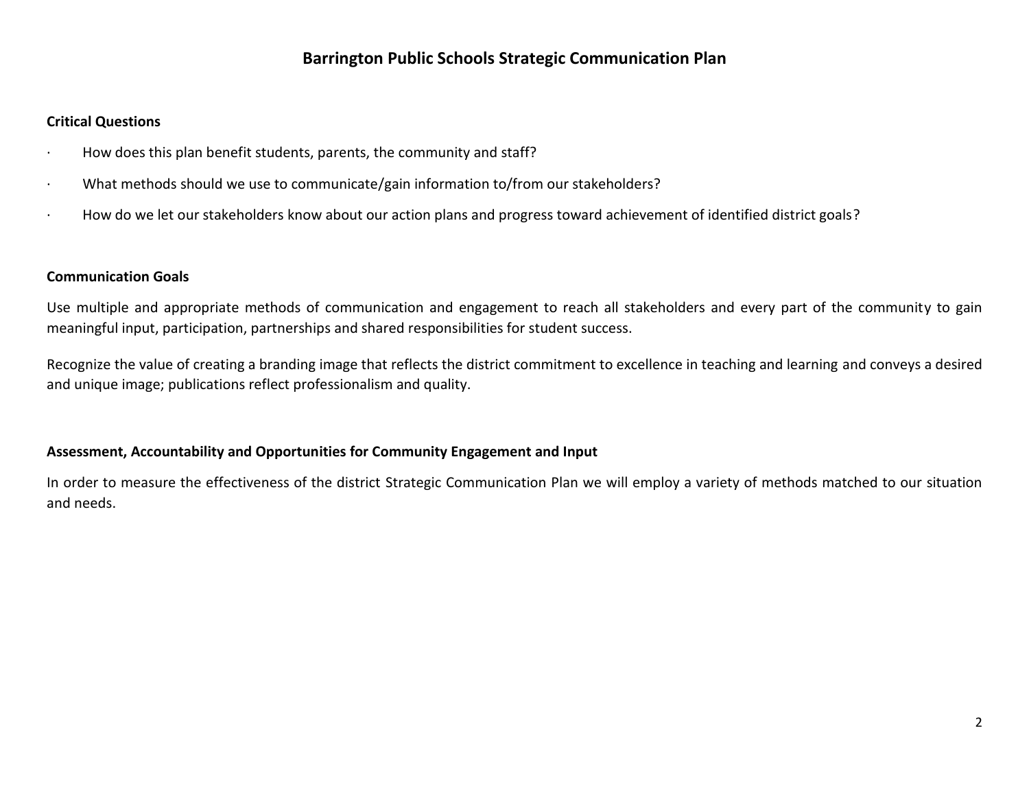### **Critical Questions**

- · How does this plan benefit students, parents, the community and staff?
- · What methods should we use to communicate/gain information to/from our stakeholders?
- · How do we let our stakeholders know about our action plans and progress toward achievement of identified district goals?

### **Communication Goals**

Use multiple and appropriate methods of communication and engagement to reach all stakeholders and every part of the community to gain meaningful input, participation, partnerships and shared responsibilities for student success.

Recognize the value of creating a branding image that reflects the district commitment to excellence in teaching and learning and conveys a desired and unique image; publications reflect professionalism and quality.

### **Assessment, Accountability and Opportunities for Community Engagement and Input**

In order to measure the effectiveness of the district Strategic Communication Plan we will employ a variety of methods matched to our situation and needs.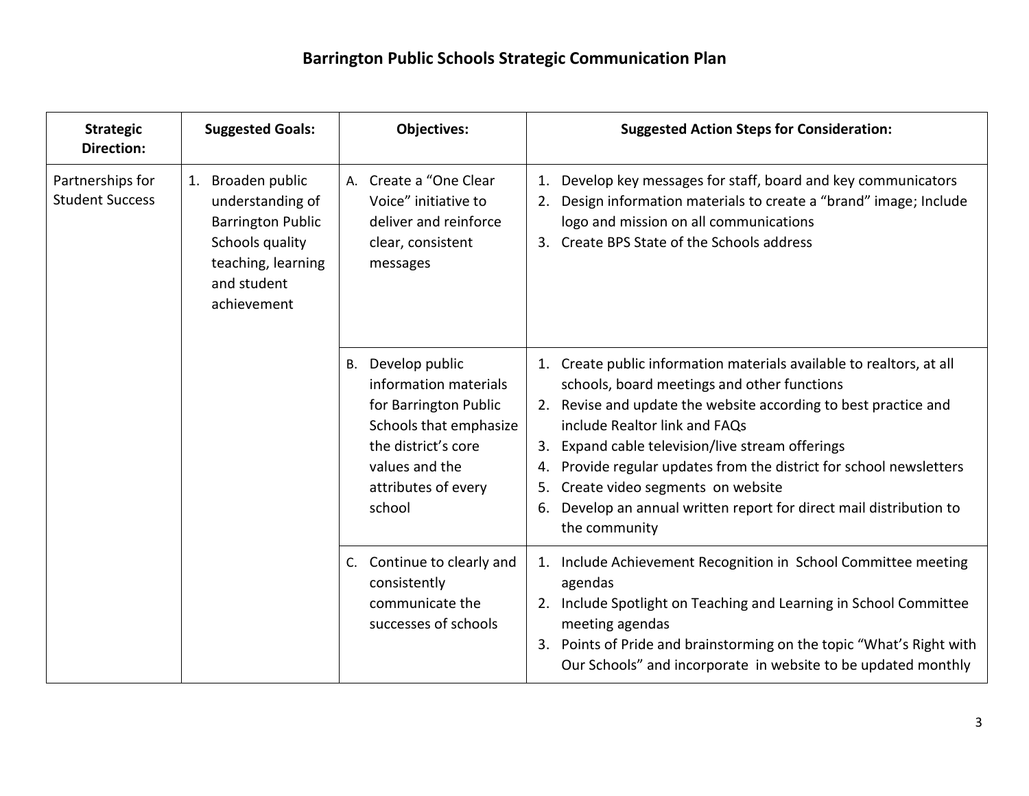| <b>Strategic</b><br><b>Direction:</b>      | <b>Suggested Goals:</b>                                                                                                                     | <b>Objectives:</b>                                                                                                                                                                | <b>Suggested Action Steps for Consideration:</b>                                                                                                                                                                                                                                                                                                                                                                                                                                           |
|--------------------------------------------|---------------------------------------------------------------------------------------------------------------------------------------------|-----------------------------------------------------------------------------------------------------------------------------------------------------------------------------------|--------------------------------------------------------------------------------------------------------------------------------------------------------------------------------------------------------------------------------------------------------------------------------------------------------------------------------------------------------------------------------------------------------------------------------------------------------------------------------------------|
| Partnerships for<br><b>Student Success</b> | Broaden public<br>1.<br>understanding of<br><b>Barrington Public</b><br>Schools quality<br>teaching, learning<br>and student<br>achievement | A. Create a "One Clear<br>Voice" initiative to<br>deliver and reinforce<br>clear, consistent<br>messages                                                                          | Develop key messages for staff, board and key communicators<br>1.<br>Design information materials to create a "brand" image; Include<br>2.<br>logo and mission on all communications<br>3. Create BPS State of the Schools address                                                                                                                                                                                                                                                         |
|                                            |                                                                                                                                             | Develop public<br><b>B.</b><br>information materials<br>for Barrington Public<br>Schools that emphasize<br>the district's core<br>values and the<br>attributes of every<br>school | 1. Create public information materials available to realtors, at all<br>schools, board meetings and other functions<br>2. Revise and update the website according to best practice and<br>include Realtor link and FAQs<br>3. Expand cable television/live stream offerings<br>Provide regular updates from the district for school newsletters<br>4.<br>Create video segments on website<br>5.<br>Develop an annual written report for direct mail distribution to<br>6.<br>the community |
|                                            |                                                                                                                                             | C. Continue to clearly and<br>consistently<br>communicate the<br>successes of schools                                                                                             | 1. Include Achievement Recognition in School Committee meeting<br>agendas<br>2. Include Spotlight on Teaching and Learning in School Committee<br>meeting agendas<br>3. Points of Pride and brainstorming on the topic "What's Right with<br>Our Schools" and incorporate in website to be updated monthly                                                                                                                                                                                 |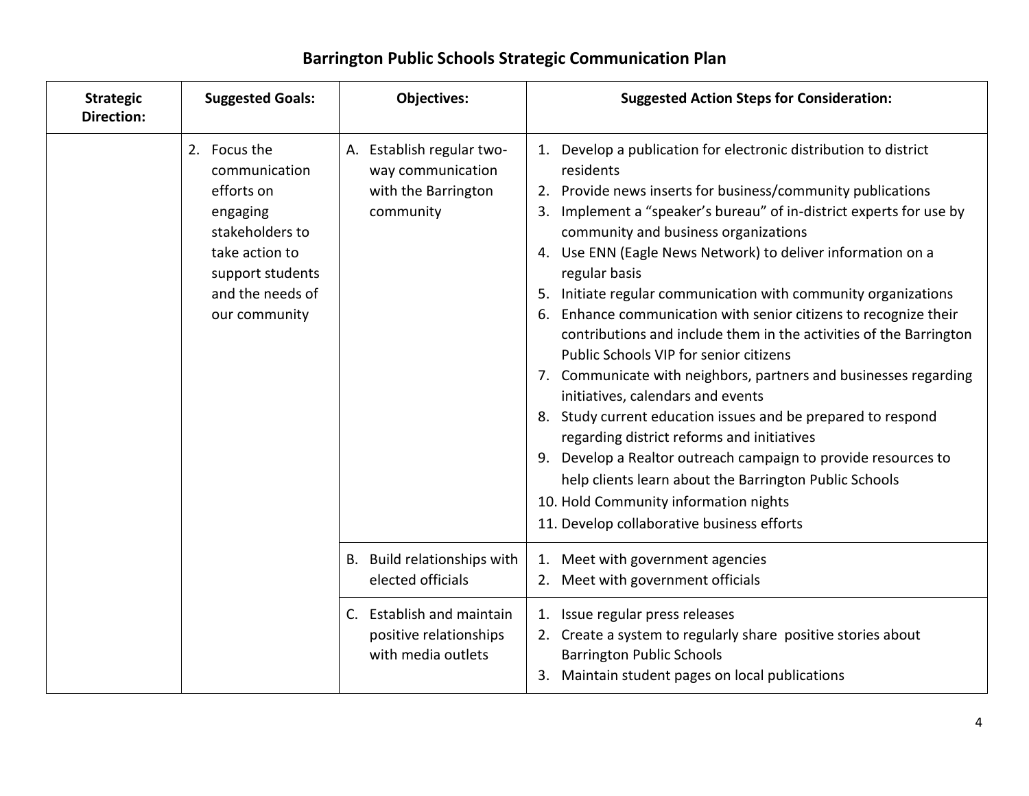| <b>Strategic</b><br><b>Direction:</b> | <b>Suggested Goals:</b>                                                                                                                               | Objectives:                                                                        | <b>Suggested Action Steps for Consideration:</b>                                                                                                                                                                                                                                                                                                                                                                                                                                                                                                                                                                                                                                                                                                                                                                                                                                                                                                                                                                                                  |
|---------------------------------------|-------------------------------------------------------------------------------------------------------------------------------------------------------|------------------------------------------------------------------------------------|---------------------------------------------------------------------------------------------------------------------------------------------------------------------------------------------------------------------------------------------------------------------------------------------------------------------------------------------------------------------------------------------------------------------------------------------------------------------------------------------------------------------------------------------------------------------------------------------------------------------------------------------------------------------------------------------------------------------------------------------------------------------------------------------------------------------------------------------------------------------------------------------------------------------------------------------------------------------------------------------------------------------------------------------------|
|                                       | 2. Focus the<br>communication<br>efforts on<br>engaging<br>stakeholders to<br>take action to<br>support students<br>and the needs of<br>our community | A. Establish regular two-<br>way communication<br>with the Barrington<br>community | 1. Develop a publication for electronic distribution to district<br>residents<br>2. Provide news inserts for business/community publications<br>3. Implement a "speaker's bureau" of in-district experts for use by<br>community and business organizations<br>4. Use ENN (Eagle News Network) to deliver information on a<br>regular basis<br>Initiate regular communication with community organizations<br>5.<br>Enhance communication with senior citizens to recognize their<br>6.<br>contributions and include them in the activities of the Barrington<br>Public Schools VIP for senior citizens<br>7. Communicate with neighbors, partners and businesses regarding<br>initiatives, calendars and events<br>8. Study current education issues and be prepared to respond<br>regarding district reforms and initiatives<br>9. Develop a Realtor outreach campaign to provide resources to<br>help clients learn about the Barrington Public Schools<br>10. Hold Community information nights<br>11. Develop collaborative business efforts |
|                                       |                                                                                                                                                       | B. Build relationships with<br>elected officials                                   | Meet with government agencies<br>1.<br>2. Meet with government officials                                                                                                                                                                                                                                                                                                                                                                                                                                                                                                                                                                                                                                                                                                                                                                                                                                                                                                                                                                          |
|                                       |                                                                                                                                                       | C. Establish and maintain<br>positive relationships<br>with media outlets          | 1. Issue regular press releases<br>2. Create a system to regularly share positive stories about<br><b>Barrington Public Schools</b><br>3. Maintain student pages on local publications                                                                                                                                                                                                                                                                                                                                                                                                                                                                                                                                                                                                                                                                                                                                                                                                                                                            |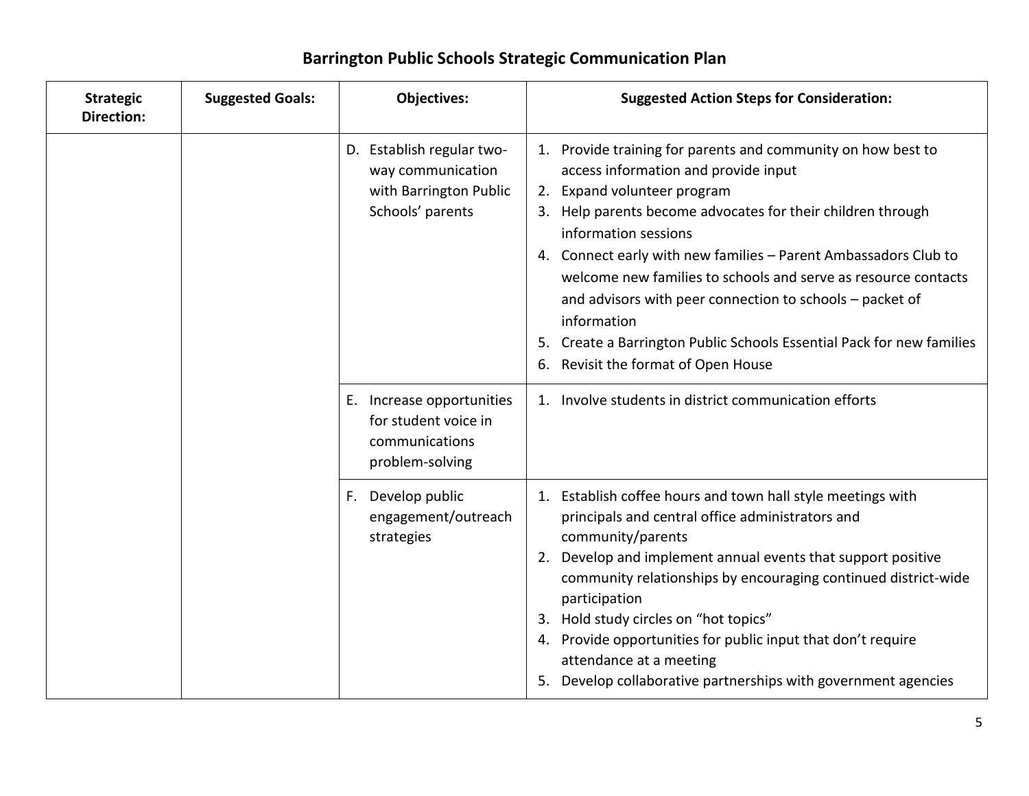| <b>Strategic</b><br><b>Direction:</b> | <b>Suggested Goals:</b> | <b>Objectives:</b>                                                                           | <b>Suggested Action Steps for Consideration:</b>                                                                                                                                                                                                                                                                                                                                                                                                                                                                                                           |
|---------------------------------------|-------------------------|----------------------------------------------------------------------------------------------|------------------------------------------------------------------------------------------------------------------------------------------------------------------------------------------------------------------------------------------------------------------------------------------------------------------------------------------------------------------------------------------------------------------------------------------------------------------------------------------------------------------------------------------------------------|
|                                       |                         | D. Establish regular two-<br>way communication<br>with Barrington Public<br>Schools' parents | 1. Provide training for parents and community on how best to<br>access information and provide input<br>2. Expand volunteer program<br>3. Help parents become advocates for their children through<br>information sessions<br>4. Connect early with new families - Parent Ambassadors Club to<br>welcome new families to schools and serve as resource contacts<br>and advisors with peer connection to schools - packet of<br>information<br>5. Create a Barrington Public Schools Essential Pack for new families<br>6. Revisit the format of Open House |
|                                       |                         | E. Increase opportunities<br>for student voice in<br>communications<br>problem-solving       | 1. Involve students in district communication efforts                                                                                                                                                                                                                                                                                                                                                                                                                                                                                                      |
|                                       |                         | Develop public<br>F.<br>engagement/outreach<br>strategies                                    | 1. Establish coffee hours and town hall style meetings with<br>principals and central office administrators and<br>community/parents<br>2. Develop and implement annual events that support positive<br>community relationships by encouraging continued district-wide<br>participation<br>3. Hold study circles on "hot topics"<br>4. Provide opportunities for public input that don't require<br>attendance at a meeting<br>5. Develop collaborative partnerships with government agencies                                                              |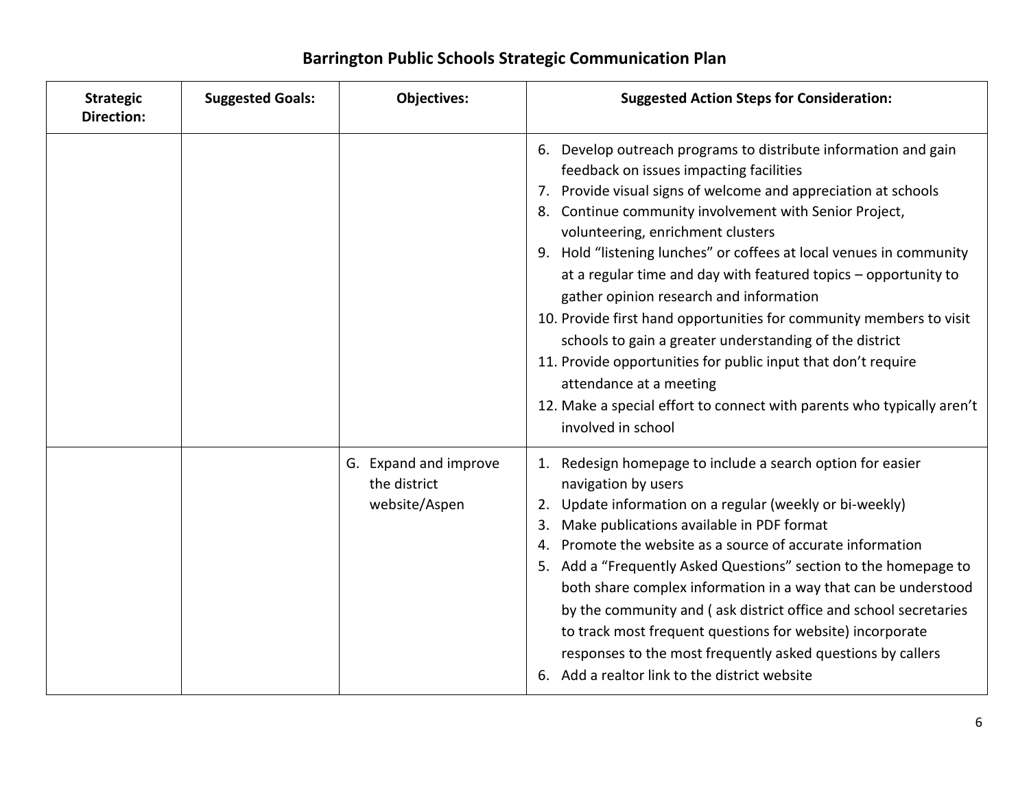### **Strategic Direction: Suggested Goals: Objectives: Suggested Action Steps for Consideration:** 6. Develop outreach programs to distribute information and gain feedback on issues impacting facilities 7. Provide visual signs of welcome and appreciation at schools 8. Continue community involvement with Senior Project, volunteering, enrichment clusters 9. Hold "listening lunches" or coffees at local venues in community at a regular time and day with featured topics – opportunity to gather opinion research and information 10. Provide first hand opportunities for community members to visit schools to gain a greater understanding of the district 11. Provide opportunities for public input that don't require attendance at a meeting 12. Make a special effort to connect with parents who typically aren't involved in school G. Expand and improve the district website/Aspen 1. Redesign homepage to include a search option for easier navigation by users 2. Update information on a regular (weekly or bi-weekly) 3. Make publications available in PDF format 4. Promote the website as a source of accurate information 5. Add a "Frequently Asked Questions" section to the homepage to both share complex information in a way that can be understood by the community and ( ask district office and school secretaries to track most frequent questions for website) incorporate responses to the most frequently asked questions by callers 6. Add a realtor link to the district website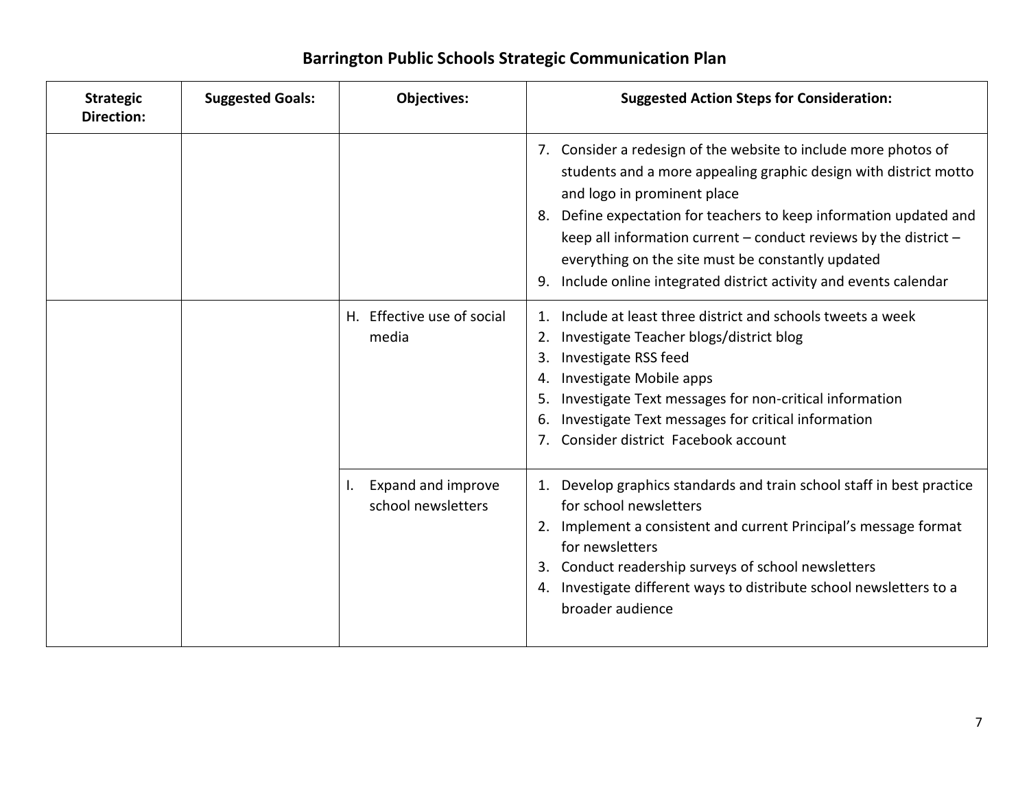| <b>Strategic</b><br><b>Direction:</b> | <b>Suggested Goals:</b>             | Objectives:                                                                                                                                                                                                                                                                                                                                    | <b>Suggested Action Steps for Consideration:</b>                                                                                                                                                                                                                                                                                                                                                                                               |
|---------------------------------------|-------------------------------------|------------------------------------------------------------------------------------------------------------------------------------------------------------------------------------------------------------------------------------------------------------------------------------------------------------------------------------------------|------------------------------------------------------------------------------------------------------------------------------------------------------------------------------------------------------------------------------------------------------------------------------------------------------------------------------------------------------------------------------------------------------------------------------------------------|
|                                       |                                     |                                                                                                                                                                                                                                                                                                                                                | 7. Consider a redesign of the website to include more photos of<br>students and a more appealing graphic design with district motto<br>and logo in prominent place<br>8. Define expectation for teachers to keep information updated and<br>keep all information current $-$ conduct reviews by the district $-$<br>everything on the site must be constantly updated<br>Include online integrated district activity and events calendar<br>9. |
|                                       | H. Effective use of social<br>media | Include at least three district and schools tweets a week<br>Investigate Teacher blogs/district blog<br>2.<br>Investigate RSS feed<br>3.<br>Investigate Mobile apps<br>4.<br>Investigate Text messages for non-critical information<br>5.<br>Investigate Text messages for critical information<br>6.<br>7. Consider district Facebook account |                                                                                                                                                                                                                                                                                                                                                                                                                                                |
|                                       |                                     | Expand and improve<br><b>I.</b><br>school newsletters                                                                                                                                                                                                                                                                                          | 1. Develop graphics standards and train school staff in best practice<br>for school newsletters<br>2. Implement a consistent and current Principal's message format<br>for newsletters<br>3. Conduct readership surveys of school newsletters<br>4. Investigate different ways to distribute school newsletters to a<br>broader audience                                                                                                       |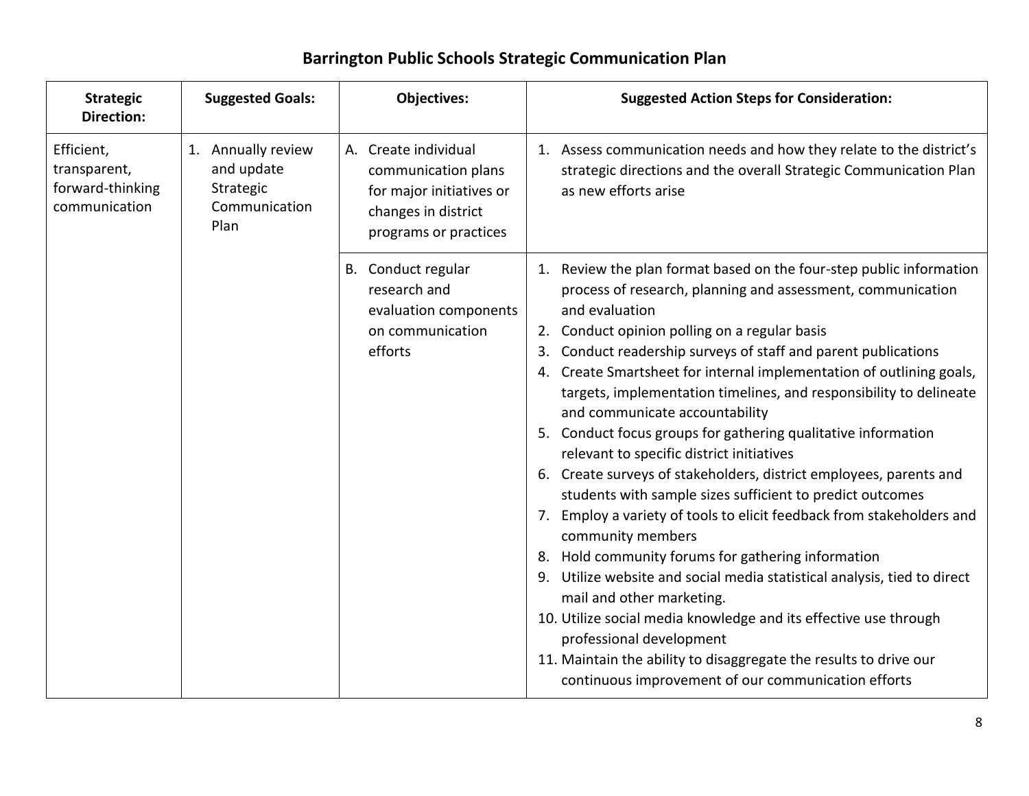| <b>Strategic</b><br><b>Direction:</b>                                   | <b>Suggested Goals:</b>                                        | <b>Objectives:</b>                                                                                                      | <b>Suggested Action Steps for Consideration:</b>                                                                                                                                                                                                                                                                                                                                                                                                                                                                                                                                                                                                                                                                                                                                                                                                                                                                                                                                                                                                                                                                                                                                                        |
|-------------------------------------------------------------------------|----------------------------------------------------------------|-------------------------------------------------------------------------------------------------------------------------|---------------------------------------------------------------------------------------------------------------------------------------------------------------------------------------------------------------------------------------------------------------------------------------------------------------------------------------------------------------------------------------------------------------------------------------------------------------------------------------------------------------------------------------------------------------------------------------------------------------------------------------------------------------------------------------------------------------------------------------------------------------------------------------------------------------------------------------------------------------------------------------------------------------------------------------------------------------------------------------------------------------------------------------------------------------------------------------------------------------------------------------------------------------------------------------------------------|
| Efficient,<br>transparent,<br>forward-thinking<br>communication<br>Plan | 1. Annually review<br>and update<br>Strategic<br>Communication | A. Create individual<br>communication plans<br>for major initiatives or<br>changes in district<br>programs or practices | 1. Assess communication needs and how they relate to the district's<br>strategic directions and the overall Strategic Communication Plan<br>as new efforts arise                                                                                                                                                                                                                                                                                                                                                                                                                                                                                                                                                                                                                                                                                                                                                                                                                                                                                                                                                                                                                                        |
|                                                                         |                                                                | B. Conduct regular<br>research and<br>evaluation components<br>on communication<br>efforts                              | 1. Review the plan format based on the four-step public information<br>process of research, planning and assessment, communication<br>and evaluation<br>2. Conduct opinion polling on a regular basis<br>Conduct readership surveys of staff and parent publications<br>3.<br>Create Smartsheet for internal implementation of outlining goals,<br>4.<br>targets, implementation timelines, and responsibility to delineate<br>and communicate accountability<br>5. Conduct focus groups for gathering qualitative information<br>relevant to specific district initiatives<br>6. Create surveys of stakeholders, district employees, parents and<br>students with sample sizes sufficient to predict outcomes<br>7. Employ a variety of tools to elicit feedback from stakeholders and<br>community members<br>8. Hold community forums for gathering information<br>9. Utilize website and social media statistical analysis, tied to direct<br>mail and other marketing.<br>10. Utilize social media knowledge and its effective use through<br>professional development<br>11. Maintain the ability to disaggregate the results to drive our<br>continuous improvement of our communication efforts |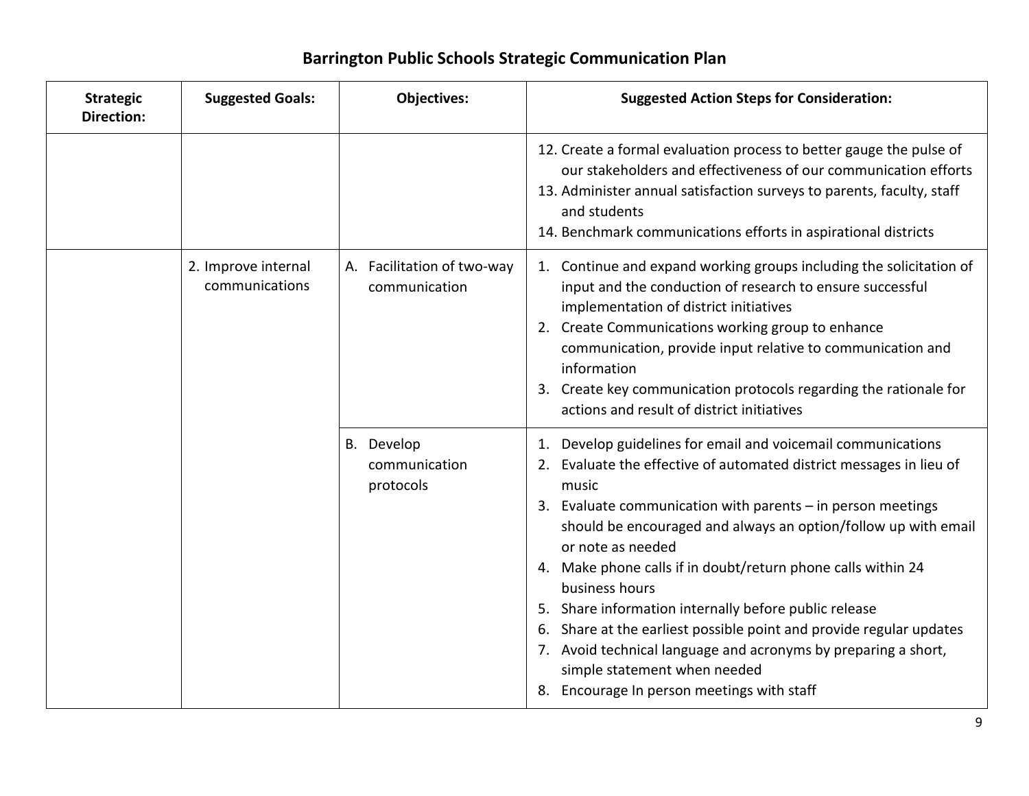| <b>Strategic</b><br><b>Direction:</b> | <b>Suggested Goals:</b>               | <b>Objectives:</b>                          | <b>Suggested Action Steps for Consideration:</b>                                                                                                                                                                                                                                                                                                                                                                                                                                                                                                                                                                                                                     |
|---------------------------------------|---------------------------------------|---------------------------------------------|----------------------------------------------------------------------------------------------------------------------------------------------------------------------------------------------------------------------------------------------------------------------------------------------------------------------------------------------------------------------------------------------------------------------------------------------------------------------------------------------------------------------------------------------------------------------------------------------------------------------------------------------------------------------|
|                                       |                                       |                                             | 12. Create a formal evaluation process to better gauge the pulse of<br>our stakeholders and effectiveness of our communication efforts<br>13. Administer annual satisfaction surveys to parents, faculty, staff<br>and students<br>14. Benchmark communications efforts in aspirational districts                                                                                                                                                                                                                                                                                                                                                                    |
|                                       | 2. Improve internal<br>communications | A. Facilitation of two-way<br>communication | 1. Continue and expand working groups including the solicitation of<br>input and the conduction of research to ensure successful<br>implementation of district initiatives<br>2. Create Communications working group to enhance<br>communication, provide input relative to communication and<br>information<br>3. Create key communication protocols regarding the rationale for<br>actions and result of district initiatives                                                                                                                                                                                                                                      |
|                                       |                                       | B. Develop<br>communication<br>protocols    | 1. Develop guidelines for email and voicemail communications<br>2. Evaluate the effective of automated district messages in lieu of<br>music<br>3. Evaluate communication with parents - in person meetings<br>should be encouraged and always an option/follow up with email<br>or note as needed<br>4. Make phone calls if in doubt/return phone calls within 24<br>business hours<br>5. Share information internally before public release<br>6. Share at the earliest possible point and provide regular updates<br>7. Avoid technical language and acronyms by preparing a short,<br>simple statement when needed<br>8. Encourage In person meetings with staff |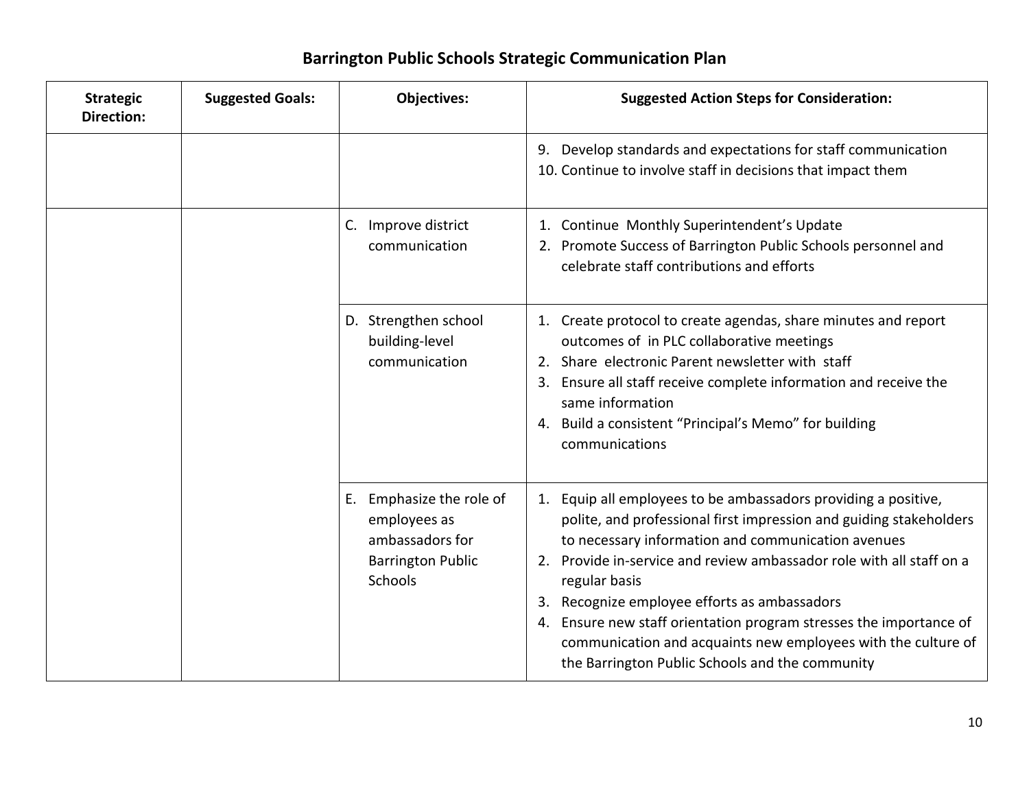| <b>Strategic</b><br><b>Direction:</b> | <b>Suggested Goals:</b> | <b>Objectives:</b>                                                                                        | <b>Suggested Action Steps for Consideration:</b>                                                                                                                                                                                                                                                                                                                                                                                                                                                                                       |
|---------------------------------------|-------------------------|-----------------------------------------------------------------------------------------------------------|----------------------------------------------------------------------------------------------------------------------------------------------------------------------------------------------------------------------------------------------------------------------------------------------------------------------------------------------------------------------------------------------------------------------------------------------------------------------------------------------------------------------------------------|
|                                       |                         |                                                                                                           | Develop standards and expectations for staff communication<br>9.<br>10. Continue to involve staff in decisions that impact them                                                                                                                                                                                                                                                                                                                                                                                                        |
|                                       |                         | C. Improve district<br>communication                                                                      | 1. Continue Monthly Superintendent's Update<br>2. Promote Success of Barrington Public Schools personnel and<br>celebrate staff contributions and efforts                                                                                                                                                                                                                                                                                                                                                                              |
|                                       |                         | D. Strengthen school<br>building-level<br>communication                                                   | 1. Create protocol to create agendas, share minutes and report<br>outcomes of in PLC collaborative meetings<br>2. Share electronic Parent newsletter with staff<br>Ensure all staff receive complete information and receive the<br>3.<br>same information<br>Build a consistent "Principal's Memo" for building<br>4.<br>communications                                                                                                                                                                                               |
|                                       |                         | E. Emphasize the role of<br>employees as<br>ambassadors for<br><b>Barrington Public</b><br><b>Schools</b> | Equip all employees to be ambassadors providing a positive,<br>1.<br>polite, and professional first impression and guiding stakeholders<br>to necessary information and communication avenues<br>Provide in-service and review ambassador role with all staff on a<br>2.<br>regular basis<br>3. Recognize employee efforts as ambassadors<br>Ensure new staff orientation program stresses the importance of<br>4.<br>communication and acquaints new employees with the culture of<br>the Barrington Public Schools and the community |